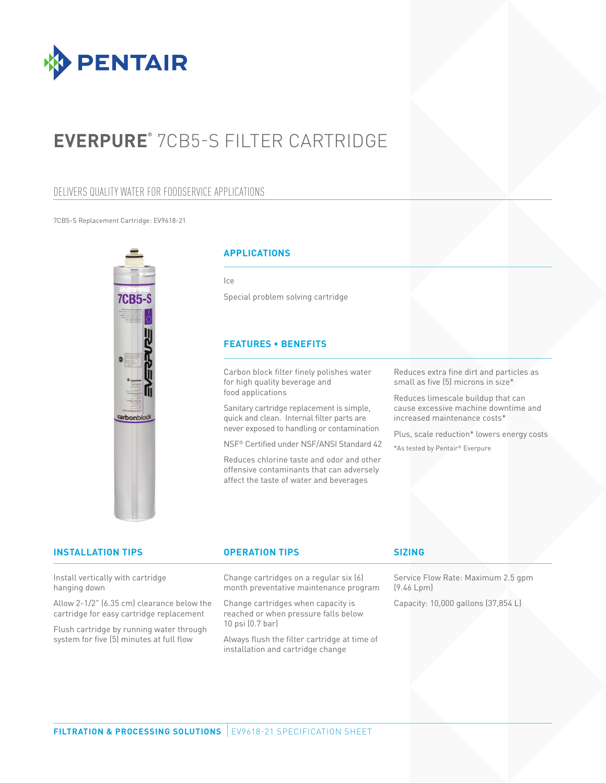

# **EVERPURE®** 7CB5-S FILTER CARTRIDGE

### DELIVERS QUALITY WATER FOR FOODSERVICE APPLICATIONS

#### 7CB5-S Replacement Cartridge: EV9618-21



### **APPLICATIONS**

Ice

Special problem solving cartridge

### **FEATURES • BENEFITS**

Carbon block filter finely polishes water for high quality beverage and food applications

Sanitary cartridge replacement is simple, quick and clean. Internal filter parts are never exposed to handling or contamination

NSF® Certified under NSF/ANSI Standard 42

Reduces chlorine taste and odor and other offensive contaminants that can adversely affect the taste of water and beverages

Reduces extra fine dirt and particles as small as five (5) microns in size\*

Reduces limescale buildup that can cause excessive machine downtime and increased maintenance costs\*

Plus, scale reduction\* lowers energy costs

\*As tested by Pentair® Everpure

| <b>INSTALLATION TIPS</b>                                                                                                           | <b>OPERATION TIPS</b>                                                                              | <b>SIZING</b>                                    |
|------------------------------------------------------------------------------------------------------------------------------------|----------------------------------------------------------------------------------------------------|--------------------------------------------------|
| Install vertically with cartridge<br>hanging down                                                                                  | Change cartridges on a regular six (6)<br>month preventative maintenance program                   | Service Flow Rate: Maximum 2.5 gpm<br>(9.46 Lpm) |
| Allow 2-1/2" (6.35 cm) clearance below the<br>cartridge for easy cartridge replacement<br>Flush cartridge by running water through | Change cartridges when capacity is<br>reached or when pressure falls below<br>$10$ psi $(0.7$ bar) | Capacity: 10,000 gallons (37,854 L)              |
| system for five (5) minutes at full flow                                                                                           | Always flush the filter cartridge at time of<br>installation and cartridge change                  |                                                  |